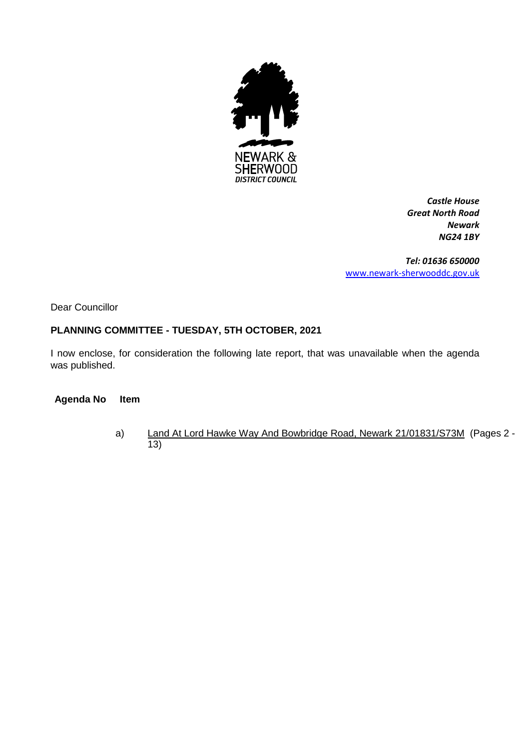

*Castle House Great North Road Newark NG24 1BY*

*Tel: 01636 650000* [www.newark-sherwooddc.gov.uk](http://www.newark-sherwooddc.gov.uk/)

Dear Councillor

# **PLANNING COMMITTEE - TUESDAY, 5TH OCTOBER, 2021**

I now enclose, for consideration the following late report, that was unavailable when the agenda was published.

#### **Agenda No Item**

a) Land At Lord Hawke Way And Bowbridge Road, Newark 21/01831/S73M (Pages 2 -13)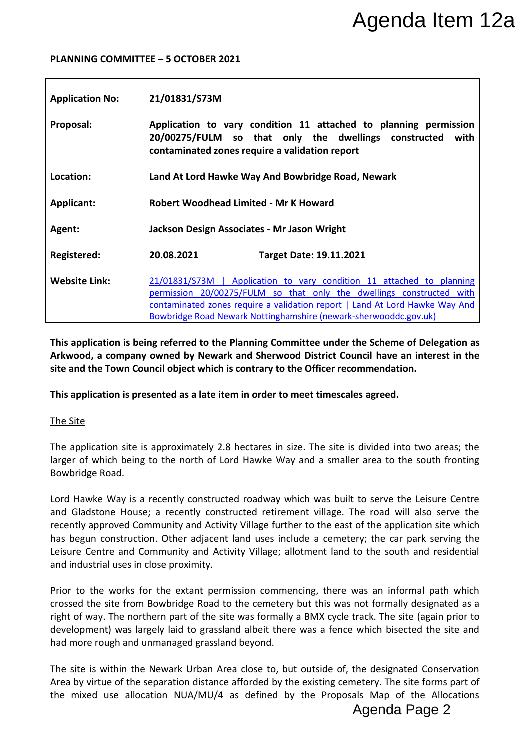#### **PLANNING COMMITTEE – 5 OCTOBER 2021**

|                                         |                                                                                                                                                                                    | Agenda Item 12a                                                                                                                                                                                                                                                                                                                                                                                                                                                                                       |
|-----------------------------------------|------------------------------------------------------------------------------------------------------------------------------------------------------------------------------------|-------------------------------------------------------------------------------------------------------------------------------------------------------------------------------------------------------------------------------------------------------------------------------------------------------------------------------------------------------------------------------------------------------------------------------------------------------------------------------------------------------|
|                                         | <b>PLANNING COMMITTEE - 5 OCTOBER 2021</b>                                                                                                                                         |                                                                                                                                                                                                                                                                                                                                                                                                                                                                                                       |
| <b>Application No:</b>                  | 21/01831/S73M                                                                                                                                                                      |                                                                                                                                                                                                                                                                                                                                                                                                                                                                                                       |
| Proposal:                               | Application to vary condition 11 attached to planning permission<br>20/00275/FULM so that only the dwellings constructed<br>with<br>contaminated zones require a validation report |                                                                                                                                                                                                                                                                                                                                                                                                                                                                                                       |
| Location:                               | Land At Lord Hawke Way And Bowbridge Road, Newark                                                                                                                                  |                                                                                                                                                                                                                                                                                                                                                                                                                                                                                                       |
| Applicant:                              | <b>Robert Woodhead Limited - Mr K Howard</b>                                                                                                                                       |                                                                                                                                                                                                                                                                                                                                                                                                                                                                                                       |
| Agent:                                  | Jackson Design Associates - Mr Jason Wright                                                                                                                                        |                                                                                                                                                                                                                                                                                                                                                                                                                                                                                                       |
| <b>Registered:</b>                      | 20.08.2021                                                                                                                                                                         | <b>Target Date: 19.11.2021</b>                                                                                                                                                                                                                                                                                                                                                                                                                                                                        |
| <b>Website Link:</b>                    |                                                                                                                                                                                    | 21/01831/S73M   Application to vary condition 11 attached to planning<br>permission 20/00275/FULM so that only the dwellings constructed with<br>contaminated zones require a validation report   Land At Lord Hawke Way And<br>Bowbridge Road Newark Nottinghamshire (newark-sherwooddc.gov.uk)                                                                                                                                                                                                      |
|                                         |                                                                                                                                                                                    | Arkwood, a company owned by Newark and Sherwood District Council have an interest in the<br>site and the Town Council object which is contrary to the Officer recommendation.<br>This application is presented as a late item in order to meet timescales agreed.                                                                                                                                                                                                                                     |
| The Site                                |                                                                                                                                                                                    |                                                                                                                                                                                                                                                                                                                                                                                                                                                                                                       |
| Bowbridge Road.                         |                                                                                                                                                                                    | The application site is approximately 2.8 hectares in size. The site is divided into two areas; the<br>larger of which being to the north of Lord Hawke Way and a smaller area to the south fronting                                                                                                                                                                                                                                                                                                  |
| and industrial uses in close proximity. |                                                                                                                                                                                    | Lord Hawke Way is a recently constructed roadway which was built to serve the Leisure Centre<br>and Gladstone House; a recently constructed retirement village. The road will also serve the<br>recently approved Community and Activity Village further to the east of the application site which<br>has begun construction. Other adjacent land uses include a cemetery; the car park serving the<br>Leisure Centre and Community and Activity Village; allotment land to the south and residential |
|                                         | had more rough and unmanaged grassland beyond.                                                                                                                                     | Prior to the works for the extant permission commencing, there was an informal path which<br>crossed the site from Bowbridge Road to the cemetery but this was not formally designated as a<br>right of way. The northern part of the site was formally a BMX cycle track. The site (again prior to<br>development) was largely laid to grassland albeit there was a fence which bisected the site and                                                                                                |
|                                         |                                                                                                                                                                                    | The site is within the Newark Urban Area close to, but outside of, the designated Conservation<br>Area by virtue of the separation distance afforded by the existing cemetery. The site forms part of<br>the mixed use allocation NUA/MU/4 as defined by the Proposals Map of the Allocations<br>Agenda Page 2                                                                                                                                                                                        |

#### The Site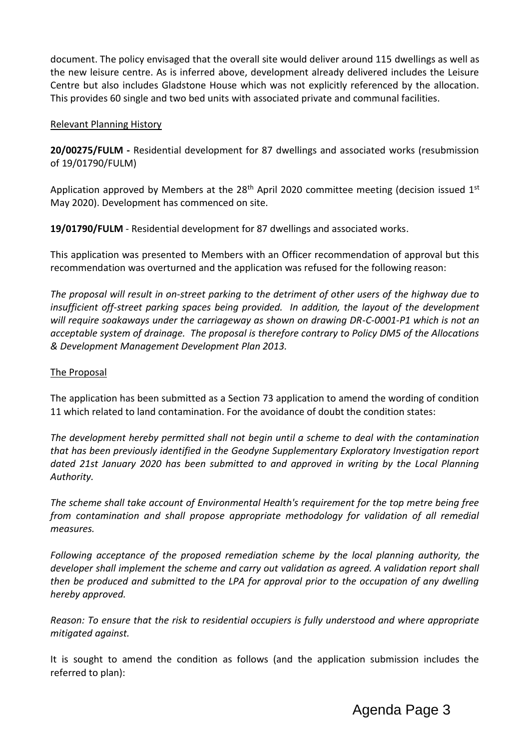document. The policy envisaged that the overall site would deliver around 115 dwellings as well as the new leisure centre. As is inferred above, development already delivered includes the Leisure Centre but also includes Gladstone House which was not explicitly referenced by the allocation. This provides 60 single and two bed units with associated private and communal facilities.

### Relevant Planning History

**20/00275/FULM -** Residential development for 87 dwellings and associated works (resubmission of 19/01790/FULM)

Application approved by Members at the  $28<sup>th</sup>$  April 2020 committee meeting (decision issued  $1<sup>st</sup>$ May 2020). Development has commenced on site.

**19/01790/FULM** - Residential development for 87 dwellings and associated works.

This application was presented to Members with an Officer recommendation of approval but this recommendation was overturned and the application was refused for the following reason:

*The proposal will result in on-street parking to the detriment of other users of the highway due to insufficient off-street parking spaces being provided. In addition, the layout of the development will require soakaways under the carriageway as shown on drawing DR-C-0001-P1 which is not an acceptable system of drainage. The proposal is therefore contrary to Policy DM5 of the Allocations & Development Management Development Plan 2013.*

### The Proposal

The application has been submitted as a Section 73 application to amend the wording of condition 11 which related to land contamination. For the avoidance of doubt the condition states:

*The development hereby permitted shall not begin until a scheme to deal with the contamination that has been previously identified in the Geodyne Supplementary Exploratory Investigation report dated 21st January 2020 has been submitted to and approved in writing by the Local Planning Authority.* 

*The scheme shall take account of Environmental Health's requirement for the top metre being free from contamination and shall propose appropriate methodology for validation of all remedial measures.* 

*Following acceptance of the proposed remediation scheme by the local planning authority, the developer shall implement the scheme and carry out validation as agreed. A validation report shall then be produced and submitted to the LPA for approval prior to the occupation of any dwelling hereby approved.*

*Reason: To ensure that the risk to residential occupiers is fully understood and where appropriate mitigated against.*

It is sought to amend the condition as follows (and the application submission includes the referred to plan):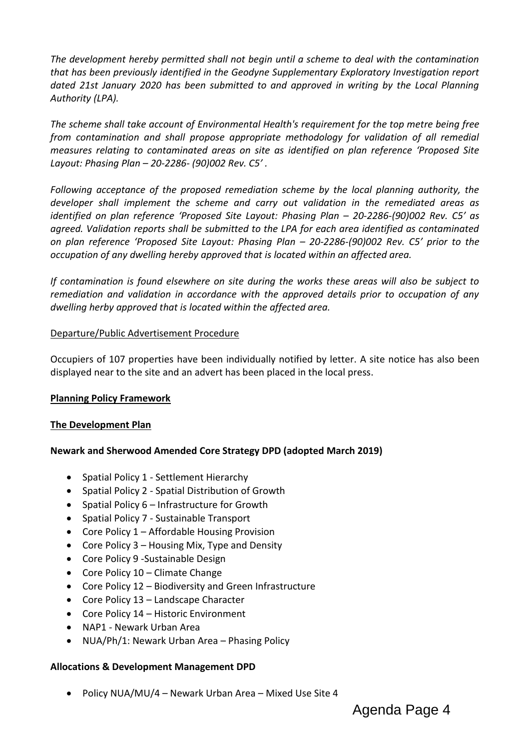*The development hereby permitted shall not begin until a scheme to deal with the contamination that has been previously identified in the Geodyne Supplementary Exploratory Investigation report*  dated 21st January 2020 has been submitted to and approved in writing by the Local Planning *Authority (LPA).*

*The scheme shall take account of Environmental Health's requirement for the top metre being free from contamination and shall propose appropriate methodology for validation of all remedial measures relating to contaminated areas on site as identified on plan reference 'Proposed Site Layout: Phasing Plan – 20-2286- (90)002 Rev. C5' .* 

*Following acceptance of the proposed remediation scheme by the local planning authority, the developer shall implement the scheme and carry out validation in the remediated areas as identified on plan reference 'Proposed Site Layout: Phasing Plan – 20-2286-(90)002 Rev. C5' as agreed. Validation reports shall be submitted to the LPA for each area identified as contaminated on plan reference 'Proposed Site Layout: Phasing Plan – 20-2286-(90)002 Rev. C5' prior to the occupation of any dwelling hereby approved that is located within an affected area.* 

*If contamination is found elsewhere on site during the works these areas will also be subject to remediation and validation in accordance with the approved details prior to occupation of any dwelling herby approved that is located within the affected area.*

### Departure/Public Advertisement Procedure

Occupiers of 107 properties have been individually notified by letter. A site notice has also been displayed near to the site and an advert has been placed in the local press.

#### **Planning Policy Framework**

## **The Development Plan**

## **Newark and Sherwood Amended Core Strategy DPD (adopted March 2019)**

- Spatial Policy 1 Settlement Hierarchy
- Spatial Policy 2 Spatial Distribution of Growth
- Spatial Policy  $6$  Infrastructure for Growth
- Spatial Policy 7 Sustainable Transport
- Core Policy 1 Affordable Housing Provision
- Core Policy  $3$  Housing Mix, Type and Density
- Core Policy 9 Sustainable Design
- Core Policy 10 Climate Change
- Core Policy 12 Biodiversity and Green Infrastructure
- Core Policy 13 Landscape Character
- Core Policy 14 Historic Environment
- NAP1 Newark Urban Area
- NUA/Ph/1: Newark Urban Area Phasing Policy

#### **Allocations & Development Management DPD**

• Policy NUA/MU/4 – Newark Urban Area – Mixed Use Site 4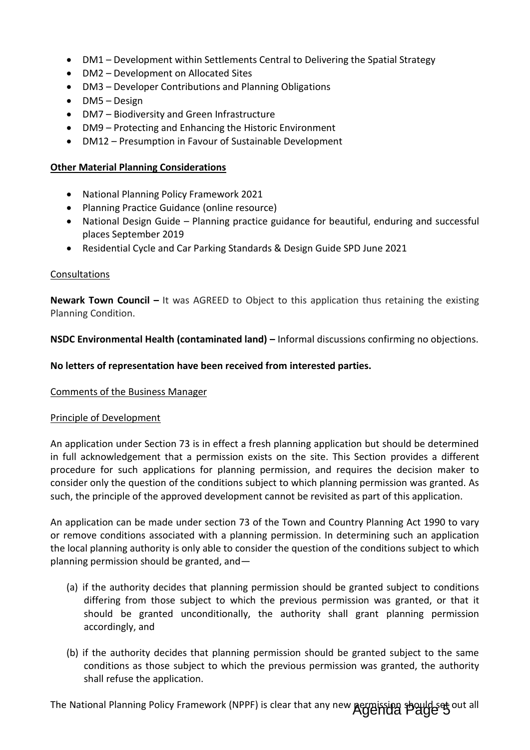- DM1 Development within Settlements Central to Delivering the Spatial Strategy
- DM2 Development on Allocated Sites
- DM3 Developer Contributions and Planning Obligations
- DM5 Design
- DM7 Biodiversity and Green Infrastructure
- DM9 Protecting and Enhancing the Historic Environment
- DM12 Presumption in Favour of Sustainable Development

### **Other Material Planning Considerations**

- National Planning Policy Framework 2021
- Planning Practice Guidance (online resource)
- National Design Guide Planning practice guidance for beautiful, enduring and successful places September 2019
- Residential Cycle and Car Parking Standards & Design Guide SPD June 2021

### Consultations

**Newark Town Council –** It was AGREED to Object to this application thus retaining the existing Planning Condition.

**NSDC Environmental Health (contaminated land) – Informal discussions confirming no objections.** 

### **No letters of representation have been received from interested parties.**

#### Comments of the Business Manager

#### Principle of Development

An application under Section 73 is in effect a fresh planning application but should be determined in full acknowledgement that a permission exists on the site. This Section provides a different procedure for such applications for planning permission, and requires the decision maker to consider only the question of the conditions subject to which planning permission was granted. As such, the principle of the approved development cannot be revisited as part of this application.

An application can be made under section 73 of the Town and Country Planning Act 1990 to vary or remove conditions associated with a planning permission. In determining such an application the local planning authority is only able to consider the question of the conditions subject to which planning permission should be granted, and—

- (a) if the authority decides that planning permission should be granted subject to conditions differing from those subject to which the previous permission was granted, or that it should be granted unconditionally, the authority shall grant planning permission accordingly, and
- (b) if the authority decides that planning permission should be granted subject to the same conditions as those subject to which the previous permission was granted, the authority shall refuse the application.

The National Planning Policy Framework (NPPF) is clear that any new **Agenda Page 3** out all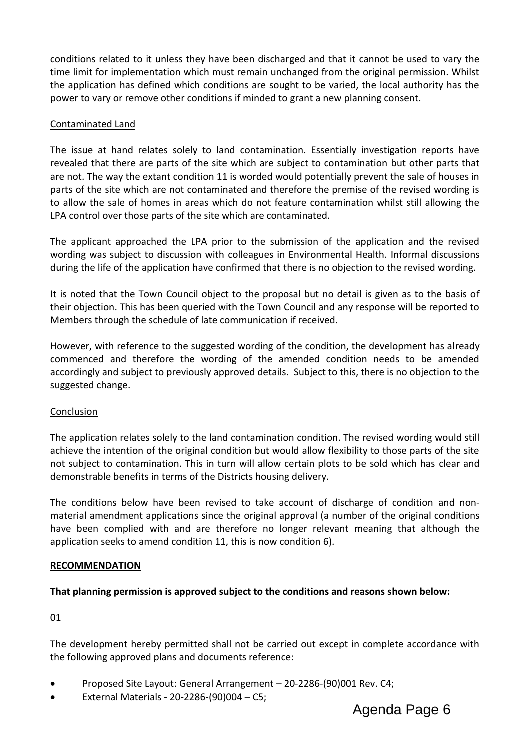conditions related to it unless they have been discharged and that it cannot be used to vary the time limit for implementation which must remain unchanged from the original permission. Whilst the application has defined which conditions are sought to be varied, the local authority has the power to vary or remove other conditions if minded to grant a new planning consent.

### Contaminated Land

The issue at hand relates solely to land contamination. Essentially investigation reports have revealed that there are parts of the site which are subject to contamination but other parts that are not. The way the extant condition 11 is worded would potentially prevent the sale of houses in parts of the site which are not contaminated and therefore the premise of the revised wording is to allow the sale of homes in areas which do not feature contamination whilst still allowing the LPA control over those parts of the site which are contaminated.

The applicant approached the LPA prior to the submission of the application and the revised wording was subject to discussion with colleagues in Environmental Health. Informal discussions during the life of the application have confirmed that there is no objection to the revised wording.

It is noted that the Town Council object to the proposal but no detail is given as to the basis of their objection. This has been queried with the Town Council and any response will be reported to Members through the schedule of late communication if received.

However, with reference to the suggested wording of the condition, the development has already commenced and therefore the wording of the amended condition needs to be amended accordingly and subject to previously approved details. Subject to this, there is no objection to the suggested change.

#### Conclusion

The application relates solely to the land contamination condition. The revised wording would still achieve the intention of the original condition but would allow flexibility to those parts of the site not subject to contamination. This in turn will allow certain plots to be sold which has clear and demonstrable benefits in terms of the Districts housing delivery.

The conditions below have been revised to take account of discharge of condition and nonmaterial amendment applications since the original approval (a number of the original conditions have been complied with and are therefore no longer relevant meaning that although the application seeks to amend condition 11, this is now condition 6).

#### **RECOMMENDATION**

#### **That planning permission is approved subject to the conditions and reasons shown below:**

01

The development hereby permitted shall not be carried out except in complete accordance with the following approved plans and documents reference:

- Proposed Site Layout: General Arrangement 20-2286-(90)001 Rev. C4;
- External Materials 20-2286-(90)004 C5;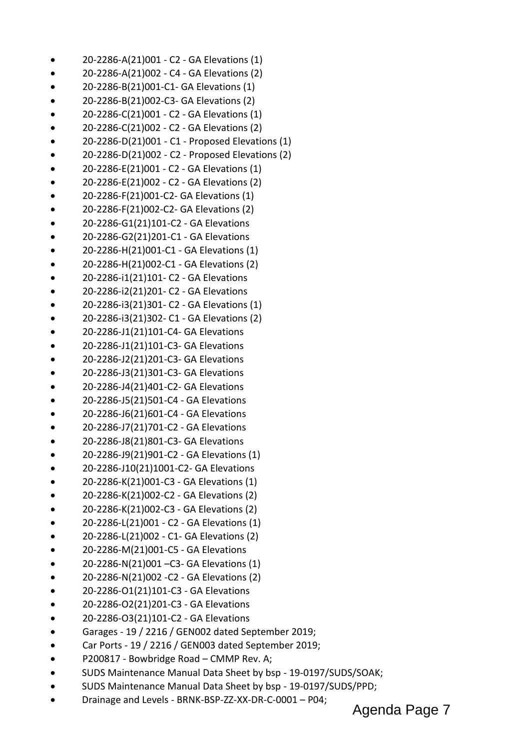- 20-2286-A(21)001 C2 GA Elevations (1)
- 20-2286-A(21)002 C4 GA Elevations (2)
- 20-2286-B(21)001-C1- GA Elevations (1)
- 20-2286-B(21)002-C3- GA Elevations (2)
- 20-2286-C(21)001 C2 GA Elevations (1)
- 20-2286-C(21)002 C2 GA Elevations (2)
- 20-2286-D(21)001 C1 Proposed Elevations (1)
- 20-2286-D(21)002 C2 Proposed Elevations (2)
- 20-2286-E(21)001 C2 GA Elevations (1)
- 20-2286-E(21)002 C2 GA Elevations (2)
- 20-2286-F(21)001-C2- GA Elevations (1)
- 20-2286-F(21)002-C2- GA Elevations (2)
- 20-2286-G1(21)101-C2 GA Elevations
- 20-2286-G2(21)201-C1 GA Elevations
- 20-2286-H(21)001-C1 GA Elevations (1)
- 20-2286-H(21)002-C1 GA Elevations (2)
- 20-2286-i1(21)101- C2 GA Elevations
- 20-2286-i2(21)201- C2 GA Elevations
- 20-2286-i3(21)301- C2 GA Elevations (1)
- 20-2286-i3(21)302- C1 GA Elevations (2)
- 20-2286-J1(21)101-C4- GA Elevations
- 20-2286-J1(21)101-C3- GA Elevations
- 20-2286-J2(21)201-C3- GA Elevations
- 20-2286-J3(21)301-C3- GA Elevations
- 20-2286-J4(21)401-C2- GA Elevations
- 20-2286-J5(21)501-C4 GA Elevations
- 20-2286-J6(21)601-C4 GA Elevations
- 20-2286-J7(21)701-C2 GA Elevations
- 20-2286-J8(21)801-C3- GA Elevations
- 20-2286-J9(21)901-C2 GA Elevations (1)
- 20-2286-J10(21)1001-C2- GA Elevations
- 20-2286-K(21)001-C3 GA Elevations (1)
- 20-2286-K(21)002-C2 GA Elevations (2)
- 20-2286-K(21)002-C3 GA Elevations (2)
- 20-2286-L(21)001 C2 GA Elevations (1)
- 20-2286-L(21)002 C1- GA Elevations (2)
- 20-2286-M(21)001-C5 GA Elevations
- 20-2286-N(21)001 –C3- GA Elevations (1)
- 20-2286-N(21)002 -C2 GA Elevations (2)
- 20-2286-O1(21)101-C3 GA Elevations
- 20-2286-O2(21)201-C3 GA Elevations
- 20-2286-O3(21)101-C2 GA Elevations
- Garages 19 / 2216 / GEN002 dated September 2019;
- Car Ports 19 / 2216 / GEN003 dated September 2019;
- P200817 Bowbridge Road CMMP Rev. A;
- SUDS Maintenance Manual Data Sheet by bsp 19-0197/SUDS/SOAK;
- SUDS Maintenance Manual Data Sheet by bsp 19-0197/SUDS/PPD;
- Drainage and Levels BRNK-BSP-ZZ-XX-DR-C-0001 P04;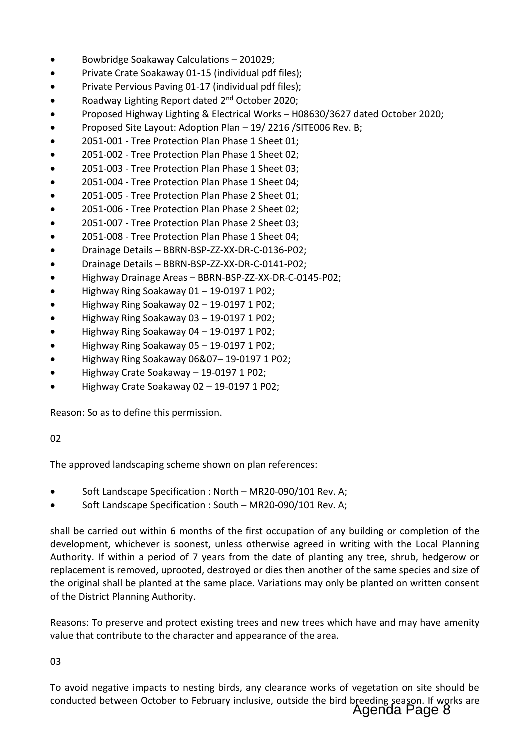- Bowbridge Soakaway Calculations 201029;
- Private Crate Soakaway 01-15 (individual pdf files);
- Private Pervious Paving 01-17 (individual pdf files);
- Roadway Lighting Report dated 2nd October 2020;
- Proposed Highway Lighting & Electrical Works H08630/3627 dated October 2020;
- Proposed Site Layout: Adoption Plan 19/ 2216 /SITE006 Rev. B;
- 2051-001 Tree Protection Plan Phase 1 Sheet 01;
- 2051-002 Tree Protection Plan Phase 1 Sheet 02;
- 2051-003 Tree Protection Plan Phase 1 Sheet 03;
- 2051-004 Tree Protection Plan Phase 1 Sheet 04;
- 2051-005 Tree Protection Plan Phase 2 Sheet 01;
- 2051-006 Tree Protection Plan Phase 2 Sheet 02;
- 2051-007 Tree Protection Plan Phase 2 Sheet 03;
- 2051-008 Tree Protection Plan Phase 1 Sheet 04;
- Drainage Details BBRN-BSP-ZZ-XX-DR-C-0136-P02;
- Drainage Details BBRN-BSP-ZZ-XX-DR-C-0141-P02;
- Highway Drainage Areas BBRN-BSP-ZZ-XX-DR-C-0145-P02;
- Highway Ring Soakaway 01 19-0197 1 P02;
- Highway Ring Soakaway 02 19-0197 1 P02;
- Highway Ring Soakaway 03 19-0197 1 P02;
- Highway Ring Soakaway 04 19-0197 1 P02;
- Highway Ring Soakaway 05 19-0197 1 P02;
- Highway Ring Soakaway 06&07– 19-0197 1 P02;
- Highway Crate Soakaway 19-0197 1 P02;
- Highway Crate Soakaway 02 19-0197 1 P02;

Reason: So as to define this permission.

## 02

The approved landscaping scheme shown on plan references:

- Soft Landscape Specification : North MR20-090/101 Rev. A;
- Soft Landscape Specification : South MR20-090/101 Rev. A;

shall be carried out within 6 months of the first occupation of any building or completion of the development, whichever is soonest, unless otherwise agreed in writing with the Local Planning Authority. If within a period of 7 years from the date of planting any tree, shrub, hedgerow or replacement is removed, uprooted, destroyed or dies then another of the same species and size of the original shall be planted at the same place. Variations may only be planted on written consent of the District Planning Authority.

Reasons: To preserve and protect existing trees and new trees which have and may have amenity value that contribute to the character and appearance of the area.

03

To avoid negative impacts to nesting birds, any clearance works of vegetation on site should be conducted between October to February inclusive, outside the bird breeding season. If works are Agenda Page 8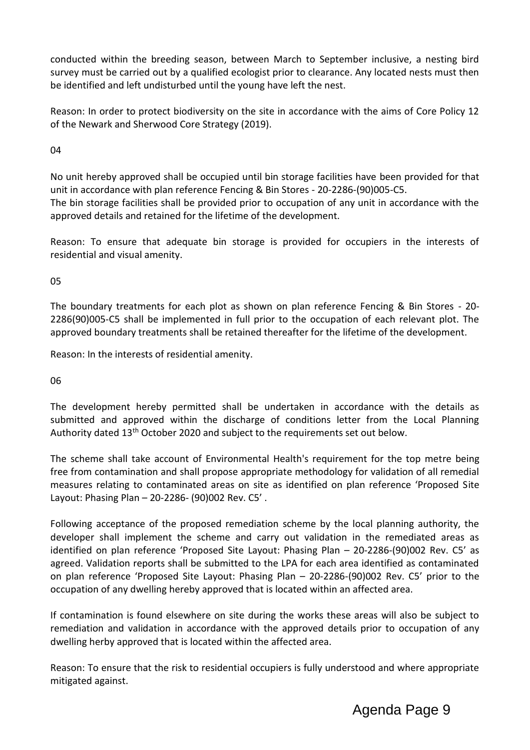conducted within the breeding season, between March to September inclusive, a nesting bird survey must be carried out by a qualified ecologist prior to clearance. Any located nests must then be identified and left undisturbed until the young have left the nest.

Reason: In order to protect biodiversity on the site in accordance with the aims of Core Policy 12 of the Newark and Sherwood Core Strategy (2019).

04

No unit hereby approved shall be occupied until bin storage facilities have been provided for that unit in accordance with plan reference Fencing & Bin Stores - 20-2286-(90)005-C5. The bin storage facilities shall be provided prior to occupation of any unit in accordance with the approved details and retained for the lifetime of the development.

Reason: To ensure that adequate bin storage is provided for occupiers in the interests of residential and visual amenity.

05

The boundary treatments for each plot as shown on plan reference Fencing & Bin Stores - 20- 2286(90)005-C5 shall be implemented in full prior to the occupation of each relevant plot. The approved boundary treatments shall be retained thereafter for the lifetime of the development.

Reason: In the interests of residential amenity.

06

The development hereby permitted shall be undertaken in accordance with the details as submitted and approved within the discharge of conditions letter from the Local Planning Authority dated 13<sup>th</sup> October 2020 and subject to the requirements set out below.

The scheme shall take account of Environmental Health's requirement for the top metre being free from contamination and shall propose appropriate methodology for validation of all remedial measures relating to contaminated areas on site as identified on plan reference 'Proposed Site Layout: Phasing Plan – 20-2286- (90)002 Rev. C5' .

Following acceptance of the proposed remediation scheme by the local planning authority, the developer shall implement the scheme and carry out validation in the remediated areas as identified on plan reference 'Proposed Site Layout: Phasing Plan – 20-2286-(90)002 Rev. C5' as agreed. Validation reports shall be submitted to the LPA for each area identified as contaminated on plan reference 'Proposed Site Layout: Phasing Plan – 20-2286-(90)002 Rev. C5' prior to the occupation of any dwelling hereby approved that is located within an affected area.

If contamination is found elsewhere on site during the works these areas will also be subject to remediation and validation in accordance with the approved details prior to occupation of any dwelling herby approved that is located within the affected area.

Reason: To ensure that the risk to residential occupiers is fully understood and where appropriate mitigated against.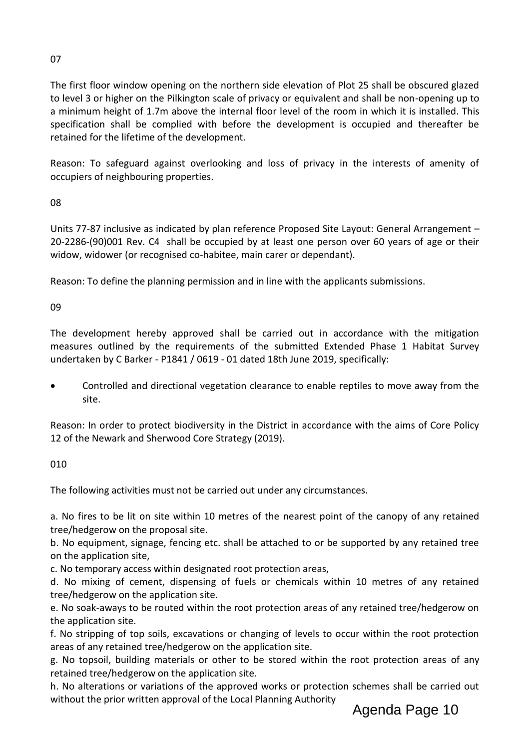# 07

The first floor window opening on the northern side elevation of Plot 25 shall be obscured glazed to level 3 or higher on the Pilkington scale of privacy or equivalent and shall be non-opening up to a minimum height of 1.7m above the internal floor level of the room in which it is installed. This specification shall be complied with before the development is occupied and thereafter be retained for the lifetime of the development.

Reason: To safeguard against overlooking and loss of privacy in the interests of amenity of occupiers of neighbouring properties.

08

Units 77-87 inclusive as indicated by plan reference Proposed Site Layout: General Arrangement – 20-2286-(90)001 Rev. C4 shall be occupied by at least one person over 60 years of age or their widow, widower (or recognised co-habitee, main carer or dependant).

Reason: To define the planning permission and in line with the applicants submissions.

09

The development hereby approved shall be carried out in accordance with the mitigation measures outlined by the requirements of the submitted Extended Phase 1 Habitat Survey undertaken by C Barker - P1841 / 0619 - 01 dated 18th June 2019, specifically:

 Controlled and directional vegetation clearance to enable reptiles to move away from the site.

Reason: In order to protect biodiversity in the District in accordance with the aims of Core Policy 12 of the Newark and Sherwood Core Strategy (2019).

010

The following activities must not be carried out under any circumstances.

a. No fires to be lit on site within 10 metres of the nearest point of the canopy of any retained tree/hedgerow on the proposal site.

b. No equipment, signage, fencing etc. shall be attached to or be supported by any retained tree on the application site,

c. No temporary access within designated root protection areas,

d. No mixing of cement, dispensing of fuels or chemicals within 10 metres of any retained tree/hedgerow on the application site.

e. No soak-aways to be routed within the root protection areas of any retained tree/hedgerow on the application site.

f. No stripping of top soils, excavations or changing of levels to occur within the root protection areas of any retained tree/hedgerow on the application site.

g. No topsoil, building materials or other to be stored within the root protection areas of any retained tree/hedgerow on the application site.

h. No alterations or variations of the approved works or protection schemes shall be carried out without the prior written approval of the Local Planning Authority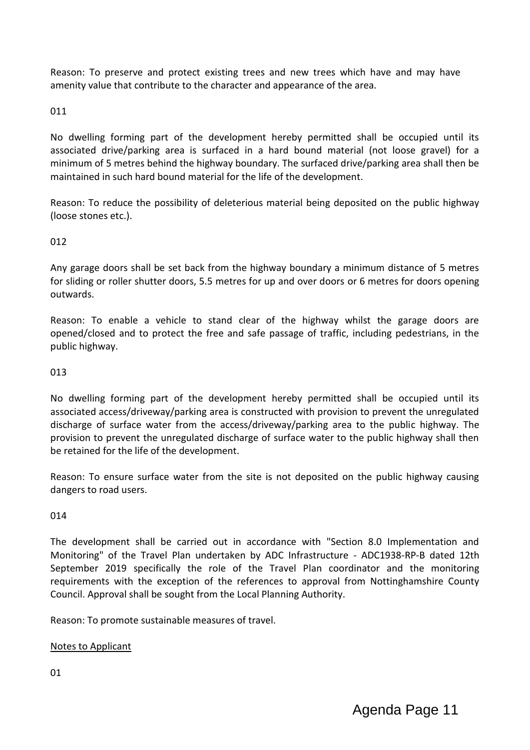Reason: To preserve and protect existing trees and new trees which have and may have amenity value that contribute to the character and appearance of the area.

# 011

No dwelling forming part of the development hereby permitted shall be occupied until its associated drive/parking area is surfaced in a hard bound material (not loose gravel) for a minimum of 5 metres behind the highway boundary. The surfaced drive/parking area shall then be maintained in such hard bound material for the life of the development.

Reason: To reduce the possibility of deleterious material being deposited on the public highway (loose stones etc.).

# 012

Any garage doors shall be set back from the highway boundary a minimum distance of 5 metres for sliding or roller shutter doors, 5.5 metres for up and over doors or 6 metres for doors opening outwards.

Reason: To enable a vehicle to stand clear of the highway whilst the garage doors are opened/closed and to protect the free and safe passage of traffic, including pedestrians, in the public highway.

### 013

No dwelling forming part of the development hereby permitted shall be occupied until its associated access/driveway/parking area is constructed with provision to prevent the unregulated discharge of surface water from the access/driveway/parking area to the public highway. The provision to prevent the unregulated discharge of surface water to the public highway shall then be retained for the life of the development.

Reason: To ensure surface water from the site is not deposited on the public highway causing dangers to road users.

## 014

The development shall be carried out in accordance with "Section 8.0 Implementation and Monitoring" of the Travel Plan undertaken by ADC Infrastructure - ADC1938-RP-B dated 12th September 2019 specifically the role of the Travel Plan coordinator and the monitoring requirements with the exception of the references to approval from Nottinghamshire County Council. Approval shall be sought from the Local Planning Authority.

Reason: To promote sustainable measures of travel.

## Notes to Applicant

01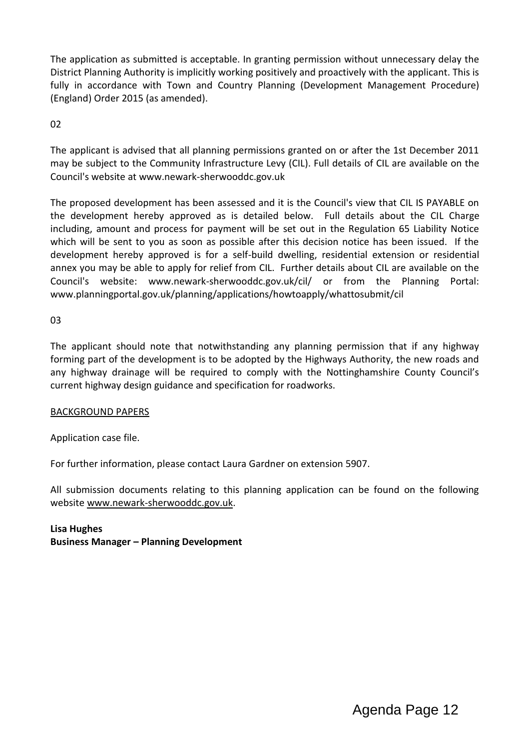The application as submitted is acceptable. In granting permission without unnecessary delay the District Planning Authority is implicitly working positively and proactively with the applicant. This is fully in accordance with Town and Country Planning (Development Management Procedure) (England) Order 2015 (as amended).

02

The applicant is advised that all planning permissions granted on or after the 1st December 2011 may be subject to the Community Infrastructure Levy (CIL). Full details of CIL are available on the Council's website at www.newark-sherwooddc.gov.uk

The proposed development has been assessed and it is the Council's view that CIL IS PAYABLE on the development hereby approved as is detailed below. Full details about the CIL Charge including, amount and process for payment will be set out in the Regulation 65 Liability Notice which will be sent to you as soon as possible after this decision notice has been issued. If the development hereby approved is for a self-build dwelling, residential extension or residential annex you may be able to apply for relief from CIL. Further details about CIL are available on the Council's website: www.newark-sherwooddc.gov.uk/cil/ or from the Planning Portal: www.planningportal.gov.uk/planning/applications/howtoapply/whattosubmit/cil

03

The applicant should note that notwithstanding any planning permission that if any highway forming part of the development is to be adopted by the Highways Authority, the new roads and any highway drainage will be required to comply with the Nottinghamshire County Council's current highway design guidance and specification for roadworks.

## BACKGROUND PAPERS

Application case file.

For further information, please contact Laura Gardner on extension 5907.

All submission documents relating to this planning application can be found on the following websit[e www.newark-sherwooddc.gov.uk.](http://www.newark-sherwooddc.gov.uk/)

**Lisa Hughes Business Manager – Planning Development**